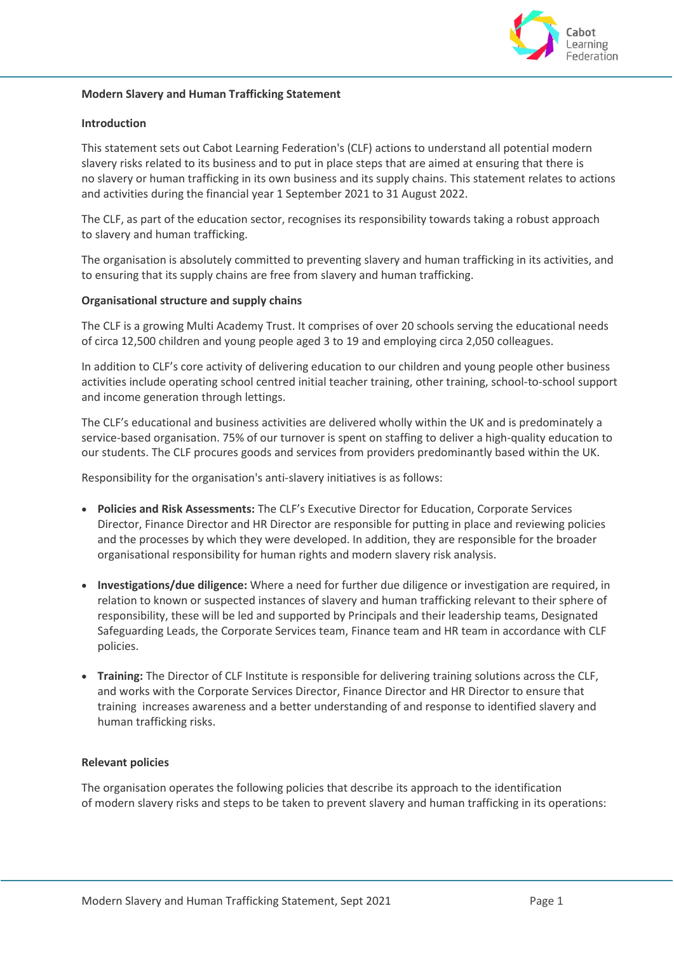

## **Modern Slavery and Human Trafficking Statement**

## **Introduction**

This statement sets out Cabot Learning Federation's (CLF) actions to understand all potential modern slavery risks related to its business and to put in place steps that are aimed at ensuring that there is no slavery or human trafficking in its own business and its supply chains. This statement relates to actions and activities during the financial year 1 September 2021 to 31 August 2022.

The CLF, as part of the education sector, recognises its responsibility towards taking a robust approach to slavery and human trafficking.

The organisation is absolutely committed to preventing slavery and human trafficking in its activities, and to ensuring that its supply chains are free from slavery and human trafficking.

### **Organisational structure and supply chains**

The CLF is a growing Multi Academy Trust. It comprises of over 20 schools serving the educational needs of circa 12,500 children and young people aged 3 to 19 and employing circa 2,050 colleagues.

In addition to CLF's core activity of delivering education to our children and young people other business activities include operating school centred initial teacher training, other training, school-to-school support and income generation through lettings.

The CLF's educational and business activities are delivered wholly within the UK and is predominately a service-based organisation. 75% of our turnover is spent on staffing to deliver a high-quality education to our students. The CLF procures goods and services from providers predominantly based within the UK.

Responsibility for the organisation's anti-slavery initiatives is as follows:

- **Policies and Risk Assessments:** The CLF's Executive Director for Education, Corporate Services Director, Finance Director and HR Director are responsible for putting in place and reviewing policies and the processes by which they were developed. In addition, they are responsible for the broader organisational responsibility for human rights and modern slavery risk analysis.
- **Investigations/due diligence:** Where a need for further due diligence or investigation are required, in relation to known or suspected instances of slavery and human trafficking relevant to their sphere of responsibility, these will be led and supported by Principals and their leadership teams, Designated Safeguarding Leads, the Corporate Services team, Finance team and HR team in accordance with CLF policies.
- **Training:** The Director of CLF Institute is responsible for delivering training solutions across the CLF, and works with the Corporate Services Director, Finance Director and HR Director to ensure that training increases awareness and a better understanding of and response to identified slavery and human trafficking risks.

#### **Relevant policies**

The organisation operates the following policies that describe its approach to the identification of modern slavery risks and steps to be taken to prevent slavery and human trafficking in its operations: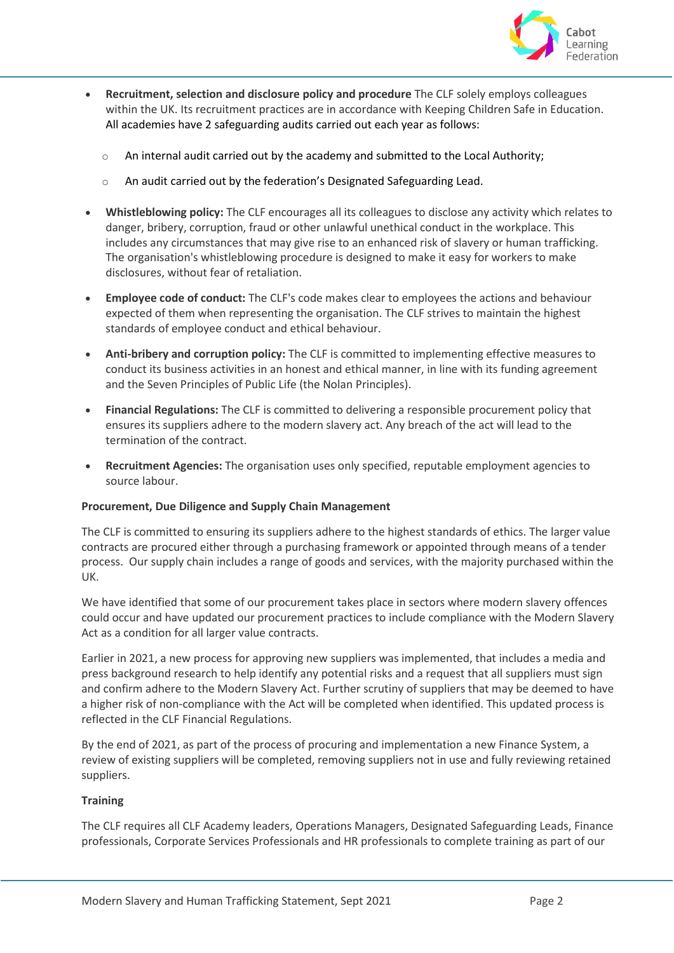

- **Recruitment, selection and disclosure policy and procedure** The CLF solely employs colleagues within the UK. Its recruitment practices are in accordance with Keeping Children Safe in Education. All academies have 2 safeguarding audits carried out each year as follows:
	- $\circ$  An internal audit carried out by the academy and submitted to the Local Authority;
	- o An audit carried out by the federation's Designated Safeguarding Lead.
- **Whistleblowing policy:** The CLF encourages all its colleagues to disclose any activity which relates to danger, bribery, corruption, fraud or other unlawful unethical conduct in the workplace. This includes any circumstances that may give rise to an enhanced risk of slavery or human trafficking. The organisation's whistleblowing procedure is designed to make it easy for workers to make disclosures, without fear of retaliation.
- **Employee code of conduct:** The CLF's code makes clear to employees the actions and behaviour expected of them when representing the organisation. The CLF strives to maintain the highest standards of employee conduct and ethical behaviour.
- **Anti-bribery and corruption policy:** The CLF is committed to implementing effective measures to conduct its business activities in an honest and ethical manner, in line with its funding agreement and the Seven Principles of Public Life (the Nolan Principles).
- **Financial Regulations:** The CLF is committed to delivering a responsible procurement policy that ensures its suppliers adhere to the modern slavery act. Any breach of the act will lead to the termination of the contract.
- **Recruitment Agencies:** The organisation uses only specified, reputable employment agencies to source labour.

# **Procurement, Due Diligence and Supply Chain Management**

The CLF is committed to ensuring its suppliers adhere to the highest standards of ethics. The larger value contracts are procured either through a purchasing framework or appointed through means of a tender process. Our supply chain includes a range of goods and services, with the majority purchased within the UK.

We have identified that some of our procurement takes place in sectors where modern slavery offences could occur and have updated our procurement practices to include compliance with the Modern Slavery Act as a condition for all larger value contracts.

Earlier in 2021, a new process for approving new suppliers was implemented, that includes a media and press background research to help identify any potential risks and a request that all suppliers must sign and confirm adhere to the Modern Slavery Act. Further scrutiny of suppliers that may be deemed to have a higher risk of non-compliance with the Act will be completed when identified. This updated process is reflected in the CLF Financial Regulations.

By the end of 2021, as part of the process of procuring and implementation a new Finance System, a review of existing suppliers will be completed, removing suppliers not in use and fully reviewing retained suppliers.

# **Training**

The CLF requires all CLF Academy leaders, Operations Managers, Designated Safeguarding Leads, Finance professionals, Corporate Services Professionals and HR professionals to complete training as part of our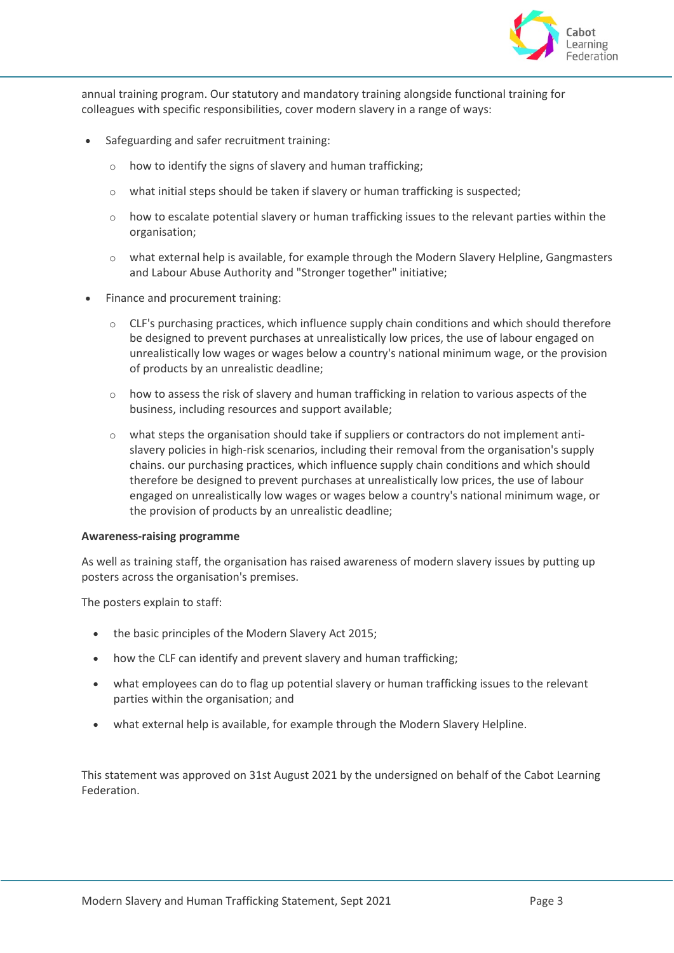

annual training program. Our statutory and mandatory training alongside functional training for colleagues with specific responsibilities, cover modern slavery in a range of ways:

- Safeguarding and safer recruitment training:
	- o how to identify the signs of slavery and human trafficking;
	- o what initial steps should be taken if slavery or human trafficking is suspected;
	- o how to escalate potential slavery or human trafficking issues to the relevant parties within the organisation;
	- o what external help is available, for example through the Modern Slavery Helpline, Gangmasters and Labour Abuse Authority and "Stronger together" initiative;
- Finance and procurement training:
	- $\circ$  CLF's purchasing practices, which influence supply chain conditions and which should therefore be designed to prevent purchases at unrealistically low prices, the use of labour engaged on unrealistically low wages or wages below a country's national minimum wage, or the provision of products by an unrealistic deadline;
	- $\circ$  how to assess the risk of slavery and human trafficking in relation to various aspects of the business, including resources and support available;
	- $\circ$  what steps the organisation should take if suppliers or contractors do not implement antislavery policies in high-risk scenarios, including their removal from the organisation's supply chains. our purchasing practices, which influence supply chain conditions and which should therefore be designed to prevent purchases at unrealistically low prices, the use of labour engaged on unrealistically low wages or wages below a country's national minimum wage, or the provision of products by an unrealistic deadline;

## **Awareness-raising programme**

As well as training staff, the organisation has raised awareness of modern slavery issues by putting up posters across the organisation's premises.

The posters explain to staff:

- the basic principles of the Modern Slavery Act 2015;
- how the CLF can identify and prevent slavery and human trafficking;
- what employees can do to flag up potential slavery or human trafficking issues to the relevant parties within the organisation; and
- what external help is available, for example through the Modern Slavery Helpline.

This statement was approved on 31st August 2021 by the undersigned on behalf of the Cabot Learning Federation.